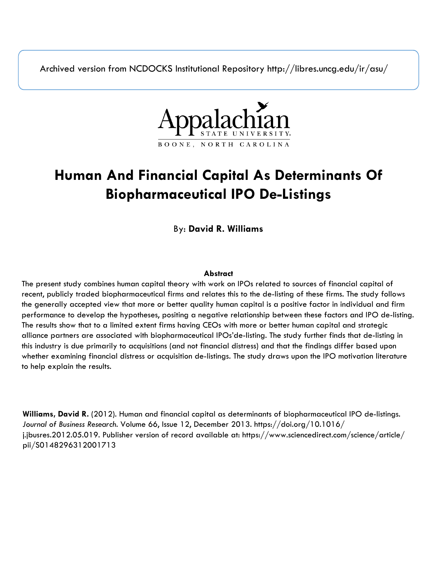Archived version from NCDOCKS Institutional Repository http://libres.uncg.edu/ir/asu/



# **Human And Financial Capital As Determinants Of Biopharmaceutical IPO De-Listings**

By: **David R. Williams**

### **Abstract**

The present study combines human capital theory with work on IPOs related to sources of financial capital of recent, publicly traded biopharmaceutical firms and relates this to the de-listing of these firms. The study follows the generally accepted view that more or better quality human capital is a positive factor in individual and firm performance to develop the hypotheses, positing a negative relationship between these factors and IPO de-listing. The results show that to a limited extent firms having CEOs with more or better human capital and strategic alliance partners are associated with biopharmaceutical IPOs'de-listing. The study further finds that de-listing in this industry is due primarily to acquisitions (and not financial distress) and that the findings differ based upon whether examining financial distress or acquisition de-listings. The study draws upon the IPO motivation literature to help explain the results.

**Williams, David R.** (2012). Human and financial capital as determinants of biopharmaceutical IPO de-listings. *Journal of Business Research*. Volume 66, Issue 12, December 2013. https://doi.org/10.1016/ j.jbusres.2012.05.019. Publisher version of record available at: https://www.sciencedirect.com/science/article/ pii/S0148296312001713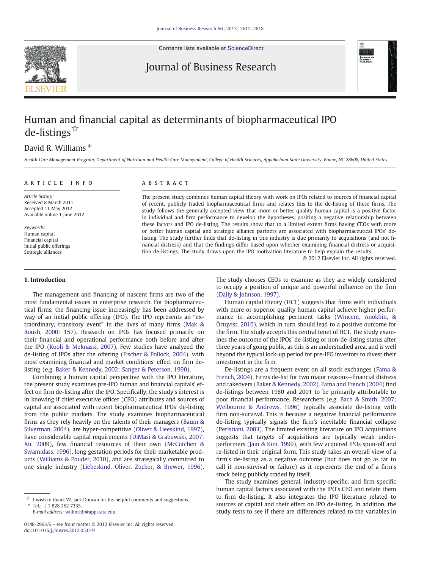Contents lists available at [ScienceDirect](http://www.sciencedirect.com/science/journal/01482963)

### Journal of Business Research



## Human and financial capital as determinants of biopharmaceutical IPO de-listings☆

### David R. Williams  $*$

Health Care Management Program, Department of Nutrition and Health Care Management, College of Health Sciences, Appalachian State University, Boone, NC 28608, United States

#### article info abstract

#### 1. Introduction

Article history:<br>
The present study combines human capital theory with work on IPOs related to sources of financial capital<br>
of recent publicly traded biopharmaceutical firms and relates this to the de-listing of these fir Received 8 March 2011 of recent, publicly traded biopharmaceutical firms and relates this to the de-listing of these firms. The decented 11 May 2012 Accepted 11 May 2012<br>Available online 1 June 2012<br>in individual and firm performance to develop the hypotheses, positing a negative relationship between Keywords:<br>
fhese factors and IPO de-listing. The results show that to a limited extent firms having CEOs with more<br>
Human capital and strategic alliance partners are associated with biopharmaceutical IPOs' de-Financial capital listing. The study further finds that de-listing in this industry is due primarily to acquisitions (and not fi-Initial public offerings **nancial community** indical distress) and that the findings differ based upon whether examining financial distress or acquisi-<br>Strategic alliances **Strategic alliances Strategic alliances** or acq tion de-listings. The study draws upon the IPO motivation literature to help explain the results.

© 2012 Elsevier Inc. All rights reserved.

The management and financing of nascent firms are two of the most fundamental issues in enterprise research. For biopharmaceutical firms, the financing issue increasingly has been addressed by way of an initial public offering (IPO). The IPO represents an "extraordinary, transitory event" in the lives of many firms [\(Mak &](#page-7-0) [Roush, 2000: 157\)](#page-7-0). Research on IPOs has focused primarily on their financial and operational performance both before and after the IPO [\(Kooli & Meknassi, 2007\)](#page-7-0). Few studies have analyzed the de-listing of IPOs after the offering ([Fischer & Pollock, 2004](#page-7-0)), with most examining financial and market conditions' effect on firm delisting (e.g. [Baker & Kennedy, 2002; Sanger & Peterson, 1990\)](#page-6-0).

Combining a human capital perspective with the IPO literature, the present study examines pre-IPO human and financial capitals' effect on firm de-listing after the IPO. Specifically, the study's interest is in knowing if chief executive officer (CEO) attributes and sources of capital are associated with recent biopharmaceutical IPOs' de-listing from the public markets. The study examines biopharmaceutical firms as they rely heavily on the talents of their managers ([Baum &](#page-6-0) [Silverman, 2004](#page-6-0)), are hyper-competitive [\(Oliver & Lieeskind, 1997](#page-7-0)), have considerable capital requirements [\(DiMasi & Grabowski, 2007;](#page-7-0) [Xu, 2009\)](#page-7-0), few financial resources of their own [\(McCutchen &](#page-7-0) [Swamidass, 1996\)](#page-7-0), long gestation periods for their marketable products [\(Williams & Pouder, 2010](#page-7-0)), and are strategically committed to one single industry [\(Liebeskind, Oliver, Zucker, & Brewer, 1996](#page-7-0)).

 $*$  Tel.: +1 828 262 7335.

E-mail address: [willimsdr@appstate.edu](mailto:willimsdr@appstate.edu).

The study chooses CEOs to examine as they are widely considered to occupy a position of unique and powerful influence on the firm [\(Daily & Johnson, 1997\)](#page-7-0).

Human capital theory (HCT) suggests that firms with individuals with more or superior quality human capital achieve higher performance in accomplishing pertinent tasks [\(Wincent, Anokhin, &](#page-7-0) [Örtqvist, 2010\)](#page-7-0), which in turn should lead to a positive outcome for the firm. The study accepts this central tenet of HCT. The study examines the outcome of the IPOs' de-listing or non-de-listing status after three years of going public, as this is an understudied area, and is well beyond the typical lock-up period for pre-IPO investors to divest their investment in the firm.

De-listings are a frequent event on all stock exchanges ([Fama &](#page-7-0) [French, 2004\)](#page-7-0). Firms de-list for two major reasons—financial distress and takeovers ([Baker & Kennedy, 2002](#page-6-0)). [Fama and French \(2004\)](#page-7-0) find de-listings between 1980 and 2001 to be primarily attributable to poor financial performance. Researchers (e.g. [Bach & Smith, 2007;](#page-6-0) [Welbourne & Andrews, 1996\)](#page-6-0) typically associate de-listing with firm non-survival. This is because a negative financial performance de-listing typically signals the firm's inevitable financial collapse [\(Peristiani, 2003\)](#page-7-0). The limited existing literature on IPO acquisitions suggests that targets of acquisitions are typically weak underperformers [\(Jain & Kini, 1999\)](#page-7-0), with few acquired IPOs spun-off and re-listed in their original form. This study takes an overall view of a firm's de-listing as a negative outcome (but does not go as far to call it non-survival or failure) as it represents the end of a firm's stock being publicly traded by itself.

The study examines general, industry-specific, and firm-specific human capital factors associated with the IPO's CEO and relate them to firm de-listing. It also integrates the IPO literature related to sources of capital and their effect on IPO de-listing. In addition, the study tests to see if there are differences related to the variables in

 $\mathring{\mathbb{X}}$  I wish to thank W. Jack Duncan for his helpful comments and suggestions.

<sup>0148-2963/\$</sup> – see front matter © 2012 Elsevier Inc. All rights reserved. doi[:10.1016/j.jbusres.2012.05.019](http://dx.doi.org/10.1016/j.jbusres.2012.05.019)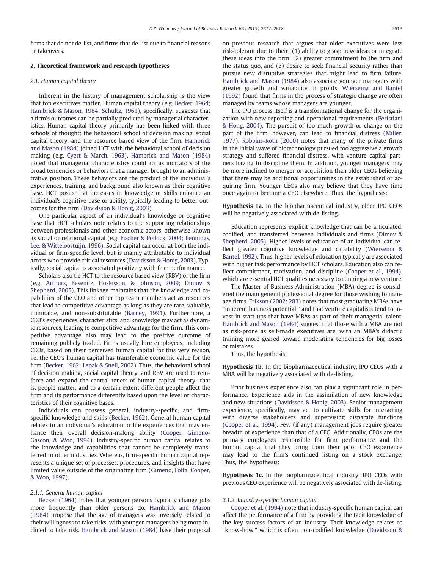<span id="page-2-0"></span>firms that do not de-list, and firms that de-list due to financial reasons or takeovers.

#### 2. Theoretical framework and research hypotheses

#### 2.1. Human capital theory

Inherent in the history of management scholarship is the view that top executives matter. Human capital theory (e.g. [Becker, 1964;](#page-6-0) [Hambrick & Mason, 1984; Schultz, 1961\)](#page-6-0), specifically, suggests that a firm's outcomes can be partially predicted by managerial characteristics. Human capital theory primarily has been linked with three schools of thought: the behavioral school of decision making, social capital theory, and the resource based view of the firm. [Hambrick](#page-7-0) [and Mason \(1984\)](#page-7-0) joined HCT with the behavioral school of decision making (e.g. [Cyert & March, 1963\)](#page-7-0). [Hambrick and Mason \(1984\)](#page-7-0) noted that managerial characteristics could act as indicators of the broad tendencies or behaviors that a manager brought to an administrative position. These behaviors are the product of the individual's experiences, training, and background also known as their cognitive base. HCT posits that increases in knowledge or skills enhance an individual's cognitive base or ability, typically leading to better outcomes for the firm [\(Davidsson & Honig, 2003\)](#page-7-0).

One particular aspect of an individual's knowledge or cognitive base that HCT scholars note relates to the supporting relationships between professionals and other economic actors, otherwise known as social or relational capital (e.g. [Fischer & Pollock, 2004; Pennings,](#page-7-0) [Lee, & Witteloostuijn, 1996\)](#page-7-0). Social capital can occur at both the individual or firm-specific level, but is mainly attributable to individual actors who provide critical resources [\(Davidsson & Honig, 2003\)](#page-7-0). Typically, social capital is associated positively with firm performance.

Scholars also tie HCT to the resource based view (RBV) of the firm (e.g. [Arthurs, Besenitz, Hoskisson, & Johnson, 2009; Dimov &](#page-6-0) [Shepherd, 2005\)](#page-6-0). This linkage maintains that the knowledge and capabilities of the CEO and other top team members act as resources that lead to competitive advantage as long as they are rare, valuable, inimitable, and non-substitutable ([Barney, 1991\)](#page-6-0). Furthermore, a CEO's experiences, characteristics, and knowledge may act as dynamic resources, leading to competitive advantage for the firm. This competitive advantage also may lead to the positive outcome of remaining publicly traded. Firms usually hire employees, including CEOs, based on their perceived human capital for this very reason, i.e. the CEO's human capital has transferable economic value for the firm ([Becker, 1962; Lepak & Snell, 2002\)](#page-6-0). Thus, the behavioral school of decision making, social capital theory, and RBV are used to reinforce and expand the central tenets of human capital theory—that is, people matter, and to a certain extent different people affect the firm and its performance differently based upon the level or characteristics of their cognitive bases.

Individuals can possess general, industry-specific, and firmspecific knowledge and skills [\(Becker, 1962](#page-6-0)). General human capital relates to an individual's education or life experiences that may enhance their overall decision-making ability [\(Cooper, Gimeno-](#page-7-0)[Gascon, & Woo, 1994\)](#page-7-0). Industry-specific human capital relates to the knowledge and capabilities that cannot be completely transferred to other industries. Whereas, firm-specific human capital represents a unique set of processes, procedures, and insights that have limited value outside of the originating firm ([Gimeno, Folta, Cooper,](#page-7-0) [& Woo, 1997](#page-7-0)).

#### 2.1.1. General human capital

[Becker \(1964\)](#page-6-0) notes that younger persons typically change jobs more frequently than older persons do. [Hambrick and Mason](#page-7-0) [\(1984\)](#page-7-0) propose that the age of managers was inversely related to their willingness to take risks, with younger managers being more inclined to take risk. [Hambrick and Mason \(1984\)](#page-7-0) base their proposal on previous research that argues that older executives were less risk-tolerant due to their: (1) ability to grasp new ideas or integrate these ideas into the firm, (2) greater commitment to the firm and the status quo, and (3) desire to seek financial security rather than pursue new disruptive strategies that might lead to firm failure. [Hambrick and Mason \(1984\)](#page-7-0) also associate younger managers with greater growth and variability in profits. [Wiersema and Bantel](#page-7-0) [\(1992\)](#page-7-0) found that firms in the process of strategic change are often managed by teams whose managers are younger.

The IPO process itself is a transformational change for the organization with new reporting and operational requirements ([Peristiani](#page-7-0) [& Hong, 2004](#page-7-0)). The pursuit of too much growth or change on the part of the firm, however, can lead to financial distress [\(Miller,](#page-7-0) [1977\)](#page-7-0). [Robbins-Roth \(2000\)](#page-7-0) notes that many of the private firms in the initial wave of biotechnology pursued too aggressive a growth strategy and suffered financial distress, with venture capital partners having to discipline them. In addition, younger managers may be more inclined to merger or acquisition than older CEOs believing that there may be additional opportunities in the established or acquiring firm. Younger CEOs also may believe that they have time once again to become a CEO elsewhere. Thus, the hypothesis:

Hypothesis 1a. In the biopharmaceutical industry, older IPO CEOs will be negatively associated with de-listing.

Education represents explicit knowledge that can be articulated, codified, and transferred between individuals and firms [\(Dimov &](#page-7-0) [Shepherd, 2005\)](#page-7-0). Higher levels of education of an individual can reflect greater cognitive knowledge and capability [\(Wiersema &](#page-7-0) [Bantel, 1992](#page-7-0)). Thus, higher levels of education typically are associated with higher task performance by HCT scholars. Education also can reflect commitment, motivation, and discipline (Cooper [et al., 1994](#page-7-0)), which are essential HCT qualities necessary to running a new venture.

The Master of Business Administration (MBA) degree is considered the main general professional degree for those wishing to manage firms. [Erikson \(2002: 283\)](#page-7-0) notes that most graduating MBAs have "inherent business potential," and that venture capitalists tend to invest in start-ups that have MBAs as part of their managerial talent. [Hambrick and Mason \(1984\)](#page-7-0) suggest that those with a MBA are not as risk-prone as self-made executives are, with an MBA's didactic training more geared toward moderating tendencies for big losses or mistakes.

Thus, the hypothesis:

Hypothesis 1b. In the biopharmaceutical industry, IPO CEOs with a MBA will be negatively associated with de-listing.

Prior business experience also can play a significant role in performance. Experience aids in the assimilation of new knowledge and new situations ([Davidsson & Honig, 2003\)](#page-7-0). Senior management experience, specifically, may act to cultivate skills for interacting with diverse stakeholders and supervising disparate functions [\(Cooper et al., 1994\)](#page-7-0). Few (if any) management jobs require greater breadth of experience than that of a CEO. Additionally, CEOs are the primary employees responsible for firm performance and the human capital that they bring from their prior CEO experience may lead to the firm's continued listing on a stock exchange. Thus, the hypothesis:

Hypothesis 1c. In the biopharmaceutical industry, IPO CEOs with previous CEO experience will be negatively associated with de-listing.

#### 2.1.2. Industry-specific human capital

[Cooper et al. \(1994\)](#page-7-0) note that industry-specific human capital can affect the performance of a firm by providing the tacit knowledge of the key success factors of an industry. Tacit knowledge relates to "know-how," which is often non-codified knowledge ([Davidsson &](#page-7-0)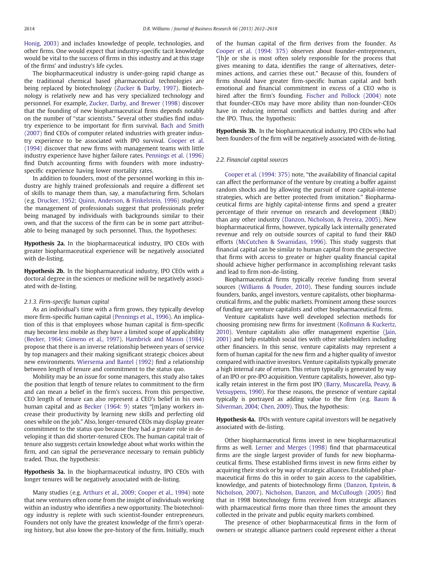<span id="page-3-0"></span>[Honig, 2003\)](#page-7-0) and includes knowledge of people, technologies, and other firms. One would expect that industry-specific tacit knowledge would be vital to the success of firms in this industry and at this stage of the firms' and industry's life cycles.

The biopharmaceutical industry is under-going rapid change as the traditional chemical based pharmaceutical technologies are being replaced by biotechnology [\(Zucker & Darby, 1997\)](#page-7-0). Biotechnology is relatively new and has very specialized technology and personnel. For example, [Zucker, Darby, and Brewer \(1998\)](#page-7-0) discover that the founding of new biopharmaceutical firms depends notably on the number of "star scientists." Several other studies find industry experience to be important for firm survival. [Bach and Smith](#page-6-0) [\(2007\)](#page-6-0) find CEOs of computer related industries with greater industry experience to be associated with IPO survival. [Cooper et al.](#page-7-0) [\(1994\)](#page-7-0) discover that new firms with management teams with little industry experience have higher failure rates. [Pennings et al. \(1996\)](#page-7-0) find Dutch accounting firms with founders with more industryspecific experience having lower mortality rates.

In addition to founders, most of the personnel working in this industry are highly trained professionals and require a different set of skills to manage them than, say, a manufacturing firm. Scholars (e.g. [Drucker, 1952; Quinn, Anderson, & Finkelstein, 1996\)](#page-7-0) studying the management of professionals suggest that professionals prefer being managed by individuals with backgrounds similar to their own, and that the success of the firm can be in some part attributable to being managed by such personnel. Thus, the hypotheses:

Hypothesis 2a. In the biopharmaceutical industry, IPO CEOs with greater biopharmaceutical experience will be negatively associated with de-listing.

Hypothesis 2b. In the biopharmaceutical industry, IPO CEOs with a doctoral degree in the sciences or medicine will be negatively associated with de-listing.

#### 2.1.3. Firm-specific human capital

As an individual's time with a firm grows, they typically develop more firm-specific human capital [\(Pennings et al., 1996](#page-7-0)). An implication of this is that employees whose human capital is firm-specific may become less mobile as they have a limited scope of applicability [\(Becker, 1964; Gimeno et al., 1997](#page-6-0)). [Hambrick and Mason \(1984\)](#page-7-0) propose that there is an inverse relationship between years of service by top managers and their making significant strategic choices about new environments. [Wiersema and Bantel \(1992\)](#page-7-0) find a relationship between length of tenure and commitment to the status quo.

Mobility may be an issue for some managers, this study also takes the position that length of tenure relates to commitment to the firm and can mean a belief in the firm's success. From this perspective, CEO length of tenure can also represent a CEO's belief in his own human capital and as [Becker \(1964: 9\)](#page-6-0) states "[m]any workers increase their productivity by learning new skills and perfecting old ones while on the job." Also, longer-tenured CEOs may display greater commitment to the status quo because they had a greater role in developing it than did shorter-tenured CEOs. The human capital trait of tenure also suggests certain knowledge about what works within the firm, and can signal the perseverance necessary to remain publicly traded. Thus, the hypothesis:

Hypothesis 3a. In the biopharmaceutical industry, IPO CEOs with longer tenures will be negatively associated with de-listing.

Many studies (e.g. [Arthurs et al., 2009; Cooper et al., 1994](#page-6-0)) note that new ventures often come from the insight of individuals working within an industry who identifies a new opportunity. The biotechnology industry is replete with such scientist-founder entrepreneurs. Founders not only have the greatest knowledge of the firm's operating history, but also know the pre-history of the firm. Initially, much of the human capital of the firm derives from the founder. As [Cooper et al. \(1994: 375\)](#page-7-0) observes about founder-entrepreneurs, "[h]e or she is most often solely responsible for the process that gives meaning to data, identifies the range of alternatives, determines actions, and carries these out." Because of this, founders of firms should have greater firm-specific human capital and both emotional and financial commitment in excess of a CEO who is hired after the firm's founding. [Fischer and Pollock \(2004\)](#page-7-0) note that founder-CEOs may have more ability than non-founder-CEOs have in reducing internal conflicts and battles during and after the IPO. Thus, the hypothesis:

Hypothesis 3b. In the biopharmaceutical industry, IPO CEOs who had been founders of the firm will be negatively associated with de-listing.

#### 2.2. Financial capital sources

[Cooper et al. \(1994: 375\)](#page-7-0) note, "the availability of financial capital can affect the performance of the venture by creating a buffer against random shocks and by allowing the pursuit of more capital-intense strategies, which are better protected from imitation." Biopharmaceutical firms are highly capital-intense firms and spend a greater percentage of their revenue on research and development (R&D) than any other industry [\(Danzon, Nicholson, & Pereira, 2005\)](#page-7-0). New biopharmaceutical firms, however, typically lack internally generated revenue and rely on outside sources of capital to fund their R&D efforts ([McCutchen & Swamidass, 1996](#page-7-0)). This study suggests that financial capital can be similar to human capital from the perspective that firms with access to greater or higher quality financial capital should achieve higher performance in accomplishing relevant tasks and lead to firm non-de-listing.

Biopharmaceutical firms typically receive funding from several sources [\(Williams & Pouder, 2010](#page-7-0)). These funding sources include founders, banks, angel investors, venture capitalists, other biopharmaceutical firms, and the public markets. Prominent among these sources of funding are venture capitalists and other biopharmaceutical firms.

Venture capitalists have well developed selection methods for choosing promising new firms for investment [\(Kollmann & Kuckertz,](#page-7-0) [2010\)](#page-7-0). Venture capitalists also offer management expertise ([Jain,](#page-7-0) [2001\)](#page-7-0) and help establish social ties with other stakeholders including other financiers. In this sense, venture capitalists may represent a form of human capital for the new firm and a higher quality of investor compared with inactive investors. Venture capitalists typically generate a high internal rate of return. This return typically is generated by way of an IPO or pre-IPO acquisition. Venture capitalists, however, also typically retain interest in the firm post IPO [\(Barry, Muscarella, Peavy, &](#page-6-0) [Vetsuypens, 1990](#page-6-0)). For these reasons, the presence of venture capital typically is portrayed as adding value to the firm (e.g. [Baum &](#page-6-0) [Silverman, 2004; Chen, 2009\)](#page-6-0). Thus, the hypothesis:

Hypothesis 4a. IPOs with venture capital investors will be negatively associated with de-listing.

Other biopharmaceutical firms invest in new biopharmaceutical firms as well. [Lerner and Merges \(1998\)](#page-7-0) find that pharmaceutical firms are the single largest provider of funds for new biopharmaceutical firms. These established firms invest in new firms either by acquiring their stock or by way of strategic alliances. Established pharmaceutical firms do this in order to gain access to the capabilities, knowledge, and patents of biotechnology firms [\(Danzon, Epstein, &](#page-7-0) [Nicholson, 2007\)](#page-7-0). [Nicholson, Danzon, and McCullough \(2005\)](#page-7-0) find that in 1998 biotechnology firms received from strategic alliances with pharmaceutical firms more than three times the amount they collected in the private and public equity markets combined.

The presence of other biopharmaceutical firms in the form of owners or strategic alliance partners could represent either a threat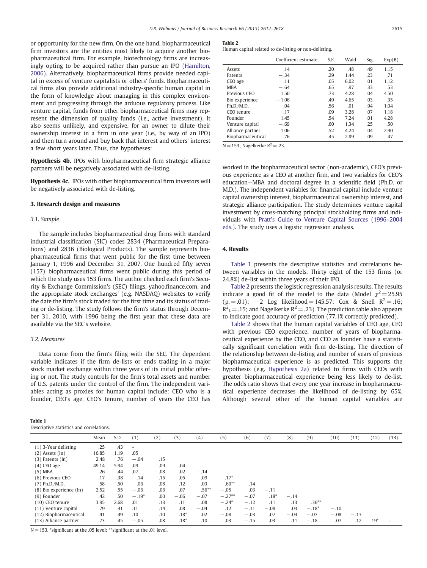<span id="page-4-0"></span>or opportunity for the new firm. On the one hand, biopharmaceutical firm investors are the entities most likely to acquire another biopharmaceutical firm. For example, biotechnology firms are increasingly opting to be acquired rather than pursue an IPO ([Hamilton,](#page-7-0) [2006\)](#page-7-0). Alternatively, biopharmaceutical firms provide needed capital in excess of venture capitalists or others' funds. Biopharmaceutical firms also provide additional industry-specific human capital in the form of knowledge about managing in this complex environment and progressing through the arduous regulatory process. Like venture capital, funds from other biopharmaceutical firms may represent the dimension of quality funds (i.e., active investment). It also seems unlikely, and expensive, for an owner to dilute their ownership interest in a firm in one year (i.e., by way of an IPO) and then turn around and buy back that interest and others' interest a few short years later. Thus, the hypotheses:

Hypothesis 4b. IPOs with biopharmaceutical firm strategic alliance partners will be negatively associated with de-listing.

Hypothesis 4c. IPOs with other biopharmaceutical firm investors will be negatively associated with de-listing.

### 3. Research design and measures

#### 3.1. Sample

The sample includes biopharmaceutical drug firms with standard industrial classification (SIC) codes 2834 (Pharmaceutical Preparations) and 2836 (Biological Products). The sample represents biopharmaceutical firms that went public for the first time between January 1, 1996 and December 31, 2007. One hundred fifty seven (157) biopharmaceutical firms went public during this period of which the study uses 153 firms. The author checked each firm's Security & Exchange Commission's (SEC) filings, yahoo.finance.com, and the appropriate stock exchanges' (e.g. NASDAQ) websites to verify the date the firm's stock traded for the first time and its status of trading or de-listing. The study follows the firm's status through December 31, 2010, with 1996 being the first year that these data are available via the SEC's website.

#### 3.2. Measures

Data come from the firm's filing with the SEC. The dependent variable indicates if the firm de-lists or ends trading in a major stock market exchange within three years of its initial public offering or not. The study controls for the firm's total assets and number of U.S. patents under the control of the firm. The independent variables acting as proxies for human capital include: CEO who is a founder, CEO's age, CEO's tenure, number of years the CEO has

| . |  |
|---|--|
|---|--|

| Descriptive statistics and correlations. |  |  |  |  |
|------------------------------------------|--|--|--|--|
|------------------------------------------|--|--|--|--|

Table 2

Human capital related to de-listing or non-delisting.

|                   | Coefficient estimate | S.E. | Wald | Sig. | Exp(B) |
|-------------------|----------------------|------|------|------|--------|
| Assets            | .14                  | .20  | .48  | .49  | 1.15   |
| Patents           | $-.34$               | .29  | 1.44 | .23  | .71    |
| CEO age           | .11                  | .05  | 6.02 | .01  | 1.12   |
| <b>MBA</b>        | $-.64$               | .65  | .97  | .33  | .53    |
| Previous CEO      | 1.50                 | .73  | 4.28 | .04  | 4.50   |
| Bio experience    | $-1.06$              | .49  | 4.65 | .03  | .35    |
| Ph.D./M.D.        | .04                  | .56  | .01  | .94  | 1.04   |
| CEO tenure        | .17                  | .09  | 3.28 | .07  | 1.18   |
| Founder           | 1.45                 | .54  | 7.24 | .01  | 4.28   |
| Venture capital   | $-.69$               | .60  | 1.34 | .25  | .50    |
| Alliance partner  | 1.06                 | .52  | 4.24 | .04  | 2.90   |
| Biopharmaceutical | $-.76$               | .45  | 2.89 | .09  | .47    |

N = 153; Nagelkerke  $R^2$  = .23.

worked in the biopharmaceutical sector (non-academic), CEO's previous experience as a CEO at another firm, and two variables for CEO's education—MBA and doctoral degree in a scientific field (Ph.D. or M.D.). The independent variables for financial capital include venture capital ownership interest, biopharmaceutical ownership interest, and strategic alliance participation. The study determines venture capital investment by cross-matching principal stockholding firms and individuals with [Pratt's Guide to Venture Capital Sources \(1996](#page-7-0)–2004 [eds.\).](#page-7-0) The study uses a logistic regression analysis.

#### 4. Results

Table 1 presents the descriptive statistics and correlations between variables in the models. Thirty eight of the 153 firms (or 24.8%) de-list within three years of their IPO.

Table 2 presents the logistic regression analysis results. The results indicate a good fit of the model to the data (Model  $\chi^2$  = 25.95  $(p, = .01); -2$  Log likelihood = 145.57; Cox & Snell  $R^2 = .16;$  $R^2$ <sub>L</sub> = .15; and Nagelkerke R<sup>2</sup> = .23). The prediction table also appears to indicate good accuracy of prediction (77.1% correctly predicted).

Table 2 shows that the human capital variables of CEO age, CEO with previous CEO experience, number of years of biopharmaceutical experience by the CEO, and CEO as founder have a statistically significant correlation with firm de-listing. The direction of the relationship between de-listing and number of years of previous biopharmaceutical experience is as predicted. This supports the hypothesis (e.g. [Hypothesis 2a\)](#page-3-0) related to firms with CEOs with greater biopharmaceutical experience being less likely to de-list. The odds ratio shows that every one year increase in biopharmaceutical experience decreases the likelihood of de-listing by 65%. Although several other of the human capital variables are

|                         | Mean  | S.D. | (1)                      | (2)    | (3)    | (4)      | (5)      | (6)    | (7)    | (8)    | (9)      | (10)   | (11)   | (12)   | (13) |
|-------------------------|-------|------|--------------------------|--------|--------|----------|----------|--------|--------|--------|----------|--------|--------|--------|------|
| $(1)$ 3-Year delisting  | .25   | .43  | $\overline{\phantom{a}}$ |        |        |          |          |        |        |        |          |        |        |        |      |
| $(2)$ Assets $(\ln)$    | 16.85 | 1.19 | .05                      |        |        |          |          |        |        |        |          |        |        |        |      |
| $(3)$ Patents $(ln)$    | 2.48  | .76  | $-.04$                   | .15    |        |          |          |        |        |        |          |        |        |        |      |
| $(4)$ CEO age           | 49.14 | 5.94 | .09                      | $-.09$ | .04    |          |          |        |        |        |          |        |        |        |      |
| $(5)$ MBA               | .26   | .44  | .07                      | $-.08$ | .02    | $-.14$   |          |        |        |        |          |        |        |        |      |
| (6) Previous CEO        | .17   | .38  | $-.14$                   | $-.15$ | $-.05$ | .09      | $.17*$   |        |        |        |          |        |        |        |      |
| $(7)$ Ph.D./M.D.        | .58   | .50  | $-.06$                   | $-.08$ | .12    | .03      | $-.60**$ | $-.14$ |        |        |          |        |        |        |      |
| (8) Bio experience (ln) | 2.52  | .55  | $-.06$                   | .06    | .07    | $.56***$ | $-.05$   | .03    | $-.11$ |        |          |        |        |        |      |
| (9) Founder             | .42   | .50  | $-.19*$                  | .00    | $-.06$ | $-.07$   | $-.27**$ | $-.07$ | $.18*$ | $-.14$ |          |        |        |        |      |
| (10) CEO tenure         | 3.95  | 2.68 | .01                      | .13    | .11    | .08      | $-.24*$  | $-.12$ | .11    | .13    | $.36***$ |        |        |        |      |
| (11) Venture capital    | .79   | .41  | .11                      | .14    | .08    | $-.04$   | .12      | $-.11$ | $-.08$ | .03    | $-.18*$  | $-.10$ |        |        |      |
| (12) Biopharmaceutical  | .41   | .49  | .10                      | .10    | $.18*$ | .02      | $-.08$   | $-.03$ | .07    | $-.04$ | $-.07$   | $-.08$ | $-.13$ |        |      |
| (13) Alliance partner   | .73   | .45  | $-.05$                   | .08    | $.18*$ | .10      | .03      | $-.15$ | .03    | .11    | $-.18$   | .07    | .12    | $.19*$ |      |

N= 153. \*significant at the .05 level; \*\*significant at the .01 level.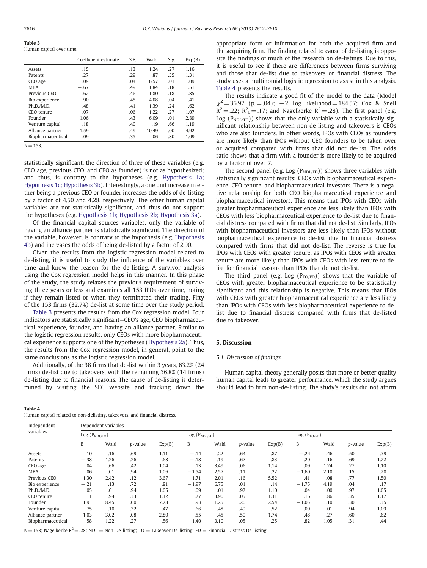<span id="page-5-0"></span>Table 3 Human capital over time.

|                   | Coefficient estimate | S.E. | Wald  | Sig. | Exp(B) |
|-------------------|----------------------|------|-------|------|--------|
| Assets            | .15                  | .13  | 1.24  | .27  | 1.16   |
| Patents           | .27                  | .29  | .87   | .35  | 1.31   |
| CEO age           | .09                  | .04  | 6.57  | .01  | 1.09   |
| <b>MBA</b>        | $-.67$               | .49  | 1.84  | .18  | .51    |
| Previous CEO      | .62                  | .46  | 1.80  | .18  | 1.85   |
| Bio experience    | $-.90$               | .45  | 4.08  | .04  | .41    |
| Ph.D./M.D.        | $-.48$               | .41  | 1.39  | .24  | .62    |
| CEO tenure        | .07                  | .06  | 1.22  | .27  | 1.07   |
| Founder           | 1.06                 | .43  | 6.09  | .01  | 2.89   |
| Venture capital   | .18                  | .40  | .19   | .66  | 1.19   |
| Alliance partner  | 1.59                 | .49  | 10.49 | .00  | 4.92   |
| Biopharmaceutical | .09                  | .35  | .06   | .80  | 1.09   |
|                   |                      |      |       |      |        |

 $N = 153.$ 

statistically significant, the direction of three of these variables (e.g. CEO age, previous CEO, and CEO as founder) is not as hypothesized; and thus, is contrary to the hypotheses (e.g. [Hypothesis 1a;](#page-2-0) [Hypothesis 1c; Hypothesis 3b](#page-2-0)). Interestingly, a one unit increase in either being a previous CEO or founder increases the odds of de-listing by a factor of 4.50 and 4.28, respectively. The other human capital variables are not statistically significant, and thus do not support the hypotheses (e.g. [Hypothesis 1b; Hypothesis 2b; Hypothesis 3a](#page-2-0)).

Of the financial capital sources variables, only the variable of having an alliance partner is statistically significant. The direction of the variable, however, is contrary to the hypothesis (e.g. [Hypothesis](#page-4-0) [4b\)](#page-4-0) and increases the odds of being de-listed by a factor of 2.90.

Given the results from the logistic regression model related to de-listing, it is useful to study the influence of the variables over time and know the reason for the de-listing. A survivor analysis using the Cox regression model helps in this manner. In this phase of the study, the study relaxes the previous requirement of surviving three years or less and examines all 153 IPOs over time, noting if they remain listed or when they terminated their trading. Fifty of the 153 firms (32.7%) de-list at some time over the study period.

Table 3 presents the results from the Cox regression model. Four indicators are statistically significant—CEO's age, CEO biopharmaceutical experience, founder, and having an alliance partner. Similar to the logistic regression results, only CEOs with more biopharmaceutical experience supports one of the hypotheses ([Hypothesis 2a](#page-3-0)). Thus, the results from the Cox regression model, in general, point to the same conclusions as the logistic regression model.

Additionally, of the 38 firms that de-list within 3 years, 63.2% (24 firms) de-list due to takeovers, with the remaining 36.8% (14 firms) de-listing due to financial reasons. The cause of de-listing is determined by visiting the SEC website and tracking down the appropriate form or information for both the acquired firm and the acquiring firm. The finding related to cause of de-listing is opposite the findings of much of the research on de-listings. Due to this, it is useful to see if there are differences between firms surviving and those that de-list due to takeovers or financial distress. The study uses a multinomial logistic regression to assist in this analysis. Table 4 presents the results.

The results indicate a good fit of the model to the data (Model  $\chi^2$  = 36.97 (p. = .04); -2 Log likelihood = 184.57; Cox & Snell  $R^2 = .22$ ;  $R^2 = .17$ ; and Nagelkerke  $R^2 = .28$ ). The first panel (e.g. Log ( $P_{NDL/TO}$ )) shows that the only variable with a statistically significant relationship between non-de-listing and takeovers is CEOs who are also founders. In other words, IPOs with CEOs as founders are more likely than IPOs without CEO founders to be taken over or acquired compared with firms that did not de-list. The odds ratio shows that a firm with a founder is more likely to be acquired by a factor of over 7.

The second panel (e.g. Log ( $P_{NDL/FD}$ )) shows three variables with statistically significant results: CEOs with biopharmaceutical experience, CEO tenure, and biopharmaceutical investors. There is a negative relationship for both CEO biopharmaceutical experience and biopharmaceutical investors. This means that IPOs with CEOs with greater biopharmaceutical experience are less likely than IPOs with CEOs with less biopharmaceutical experience to de-list due to financial distress compared with firms that did not de-list. Similarly, IPOs with biopharmaceutical investors are less likely than IPOs without biopharmaceutical experience to de-list due to financial distress compared with firms that did not de-list. The reverse is true for IPOs with CEOs with greater tenure, as IPOs with CEOs with greater tenure are more likely than IPOs with CEOs with less tenure to delist for financial reasons than IPOs that do not de-list.

The third panel (e.g. Log  $(P_{TO/FD})$ ) shows that the variable of CEOs with greater biopharmaceutical experience to be statistically significant and this relationship is negative. This means that IPOs with CEOs with greater biopharmaceutical experience are less likely than IPOs with CEOs with less biopharmaceutical experience to delist due to financial distress compared with firms that de-listed due to takeover.

#### 5. Discussion

#### 5.1. Discussion of findings

Human capital theory generally posits that more or better quality human capital leads to greater performance, which the study argues should lead to firm non-de-listing. The study's results did not affirm

Table 4

Human capital related to non-delisting, takeovers, and financial distress.

| Independent       |                   | Dependent variables |         |        |                   |      |                 |        |                  |      |                 |        |
|-------------------|-------------------|---------------------|---------|--------|-------------------|------|-----------------|--------|------------------|------|-----------------|--------|
| variables         | $Log(P_{NDL/TO})$ |                     |         |        | $Log(P_{NDL/FD})$ |      |                 |        | $Log(P_{TO/FD})$ |      |                 |        |
|                   | B                 | Wald                | p-value | Exp(B) | B                 | Wald | <i>p</i> -value | Exp(B) | B                | Wald | <i>p</i> -value | Exp(B) |
| Assets            | .10               | .16                 | .69     | 1.11   | $-.14$            | .22  | .64             | .87    | $-.24$           | .46  | .50             | .79    |
| Patents           | $-.38$            | 1.26                | .26     | .68    | $-.18$            | .19  | .67             | .83    | .20              | .16  | .69             | 1.22   |
| CEO age           | .04               | .66                 | .42     | 1.04   | .13               | 3.49 | .06             | 1.14   | .09              | 1.24 | .27             | 1.10   |
| <b>MBA</b>        | .06               | .01                 | .94     | 1.06   | $-1.54$           | 2.57 | .11             | .22    | $-1.60$          | 2.10 | .15             | .20    |
| Previous CEO      | 1.30              | 2.42                | .12     | 3.67   | 1.71              | 2.01 | .16             | 5.52   | .41              | .08  | .77             | 1.50   |
| Bio experience    | $-.21$            | .13                 | .72     | .81    | $-1.97$           | 6.75 | .01             | .14    | $-1.75$          | 4.19 | .04             | .17    |
| Ph.D./M.D.        | .05               | .01                 | .94     | 1.05   | .09               | .01  | .92             | 1.10   | .04              | .00  | .97             | 1.05   |
| CEO tenure        | .11               | .94                 | .33     | 1.12   | .27               | 3.90 | .05             | 1.31   | .16              | .86  | .35             | 1.17   |
| Founder           | 1.9               | 8.45                | .00     | 7.28   | .93               | 1.25 | .26             | 2.54   | $-1.05$          | 1.10 | .30             | .35    |
| Venture capital   | $-.75$            | .10                 | .32     | .47    | $-.66$            | .48  | .49             | .52    | .09              | .01  | .94             | 1.09   |
| Alliance partner  | 1.03              | 3.02                | .08     | 2.80   | .55               | .45  | .50             | 1.74   | $-.48$           | .27  | .60             | .62    |
| Biopharmaceutical | $-.58$            | 1.22                | .27     | .56    | $-1.40$           | 3.10 | .05             | .25    | $-.82$           | 1.05 | .31             | .44    |

 $N = 153$ ; Nagelkerke  $R^2 = .28$ ; NDL = Non-De-listing; TO = Takeover De-listing; FD = Financial Distress De-listing.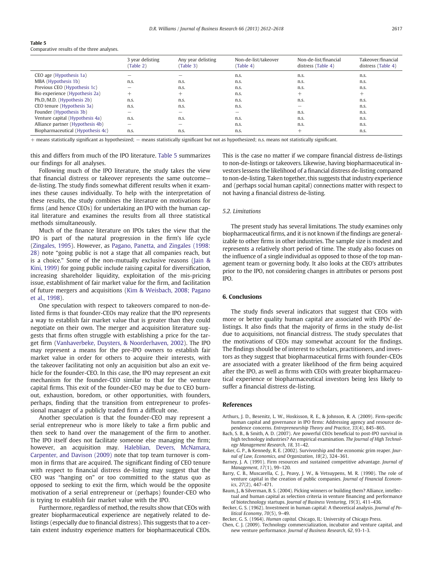<span id="page-6-0"></span>

| Table 5                    |  |
|----------------------------|--|
| Comparativo roculta of the |  |

Comparative results of the three analyses.

|                                   | 3 year delisting<br>(Table 2) | Any year delisting<br>(Table 3) | Non-de-list/takeover<br>(Table 4) | Non-de-list/financial<br>distress (Table 4) | Takeover/financial<br>distress (Table 4) |
|-----------------------------------|-------------------------------|---------------------------------|-----------------------------------|---------------------------------------------|------------------------------------------|
| CEO age (Hypothesis 1a)           | –                             | -                               | n.s.                              | n.s.                                        | n.s.                                     |
| MBA (Hypothesis 1b)               | n.s.                          | n.s.                            | n.s.                              | n.s.                                        | n.s.                                     |
| Previous CEO (Hypothesis 1c)      |                               | n.s.                            | n.s.                              | n.s.                                        | n.s.                                     |
| Bio experience (Hypothesis 2a)    |                               | $^+$                            | n.s.                              | +                                           | $^{+}$                                   |
| Ph.D./M.D. (Hypothesis 2b)        | n.s.                          | n.s.                            | n.s.                              | n.s.                                        | n.s.                                     |
| CEO tenure (Hypothesis 3a)        | n.s.                          | n.s.                            | n.s.                              |                                             | n.s.                                     |
| Founder (Hypothesis 3b)           | -                             | -                               |                                   | n.s.                                        | n.s.                                     |
| Venture capital (Hypothesis 4a)   | n.s.                          | n.s.                            | n.s.                              | n.s.                                        | n.s.                                     |
| Alliance partner (Hypothesis 4b)  | -                             | -                               | n.s.                              | n.s.                                        | n.s.                                     |
| Biopharmaceutical (Hypothesis 4c) | n.s.                          | n.s.                            | n.s.                              | +                                           | n.s.                                     |

+ means statistically significant as hypothesized; – means statistically significant but not as hypothesized; n.s. means not statistically significant.

this and differs from much of the IPO literature. Table 5 summarizes our findings for all analyses.

Following much of the IPO literature, the study takes the view that financial distress or takeover represents the same outcome de-listing. The study finds somewhat different results when it examines these causes individually. To help with the interpretation of these results, the study combines the literature on motivations for firms (and hence CEOs) for undertaking an IPO with the human capital literature and examines the results from all three statistical methods simultaneously.

Much of the finance literature on IPOs takes the view that the IPO is part of the natural progression in the firm's life cycle [\(Zingales, 1995](#page-7-0)). However, as [Pagano, Panetta, and Zingales \(1998:](#page-7-0) [28\)](#page-7-0) note "going public is not a stage that all companies reach, but is a choice." Some of the non-mutually exclusive reasons [\(Jain &](#page-7-0) [Kini, 1999](#page-7-0)) for going public include raising capital for diversification, increasing shareholder liquidity, exploitation of the mis-pricing issue, establishment of fair market value for the firm, and facilitation of future mergers and acquisitions [\(Kim & Weisbach, 2008; Pagano](#page-7-0) [et al., 1998\)](#page-7-0).

One speculation with respect to takeovers compared to non-delisted firms is that founder-CEOs may realize that the IPO represents a way to establish fair market value that is greater than they could negotiate on their own. The merger and acquisition literature suggests that firms often struggle with establishing a price for the target firm ([Vanhaverbeke, Duysters, & Noorderhaven, 2002](#page-7-0)). The IPO may represent a means for the pre-IPO owners to establish fair market value in order for others to acquire their interests, with the takeover facilitating not only an acquisition but also an exit vehicle for the founder-CEO. In this case, the IPO may represent an exit mechanism for the founder-CEO similar to that for the venture capital firms. This exit of the founder-CEO may be due to CEO burnout, exhaustion, boredom, or other opportunities, with founders, perhaps, finding that the transition from entrepreneur to professional manager of a publicly traded firm a difficult one.

Another speculation is that the founder-CEO may represent a serial entrepreneur who is more likely to take a firm public and then seek to hand over the management of the firm to another. The IPO itself does not facilitate someone else managing the firm; however, an acquisition may. [Haleblian, Devers, McNamara,](#page-7-0) [Carpenter, and Davison \(2009\)](#page-7-0) note that top team turnover is common in firms that are acquired. The significant finding of CEO tenure with respect to financial distress de-listing may suggest that the CEO was "hanging on" or too committed to the status quo as opposed to seeking to exit the firm, which would be the opposite motivation of a serial entrepreneur or (perhaps) founder-CEO who is trying to establish fair market value with the IPO.

Furthermore, regardless of method, the results show that CEOs with greater biopharmaceutical experience are negatively related to delistings (especially due to financial distress). This suggests that to a certain extent industry experience matters for biopharmaceutical CEOs. This is the case no matter if we compare financial distress de-listings to non-de-listings or takeovers. Likewise, having biopharmaceutical investors lessens the likelihood of a financial distress de-listing compared to non-de-listing. Taken together, this suggests that industry experience and (perhaps social human capital) connections matter with respect to not having a financial distress de-listing.

#### 5.2. Limitations

The present study has several limitations. The study examines only biopharmaceutical firms, and it is not known if the findings are generalizable to other firms in other industries. The sample size is modest and represents a relatively short period of time. The study also focuses on the influence of a single individual as opposed to those of the top management team or governing body. It also looks at the CEO's attributes prior to the IPO, not considering changes in attributes or persons post IPO.

#### 6. Conclusions

The study finds several indicators that suggest that CEOs with more or better quality human capital are associated with IPOs' delistings. It also finds that the majority of firms in the study de-list due to acquisitions, not financial distress. The study speculates that the motivations of CEOs may somewhat account for the findings. The findings should be of interest to scholars, practitioners, and investors as they suggest that biopharmaceutical firms with founder-CEOs are associated with a greater likelihood of the firm being acquired after the IPO, as well as firms with CEOs with greater biopharmaceutical experience or biopharmaceutical investors being less likely to suffer a financial distress de-listing.

#### References

- Arthurs, J. D., Besenitz, L. W., Hoskisson, R. E., & Johnson, R. A. (2009). Firm-specific human capital and governance in IPO firms: Addressing agency and resource dependence concerns. Entrepreneurship Theory and Practice, 33(4), 845–865.
- Bach, S. B., & Smith, A. D. (2007). Are powerful CEOs beneficial to post-IPO survival in high technology industries? An empirical examination. The Journal of High Technology Management Research, 18, 31–42.
- Baker, G. P., & Kennedy, R. E. (2002). Survivorship and the economic grim reaper. Journal of Law, Economics, and Organization, 18(2), 324–361.
- Barney, J. A. (1991). Firm resources and sustained competitive advantage. Journal of Management, 17(1), 99–120.
- Barry, C. B., Muscarella, C. J., Peavy, J. W., & Vetsuypens, M. R. (1990). The role of venture capital in the creation of public companies. Journal of Financial Economics, 27(2), 447–471.
- Baum, J., & Silverman, B. S. (2004). Picking winners or building them? Alliance, intellectual and human capital as selection criteria in venture financing and performance of biotechnology startups. Journal of Business Venturing, 19(3), 411–436.
- Becker, G. S. (1962). Investment in human capital: A theoretical analysis. Journal of Political Economy, 70(5), 9–49.
- Becker, G. S. (1964). Human capital. Chicago, IL: University of Chicago Press.
- Chen, C. J. (2009). Technology commercialization, incubator and venture capital, and new venture performance. Journal of Business Research, 62, 93-1-3.